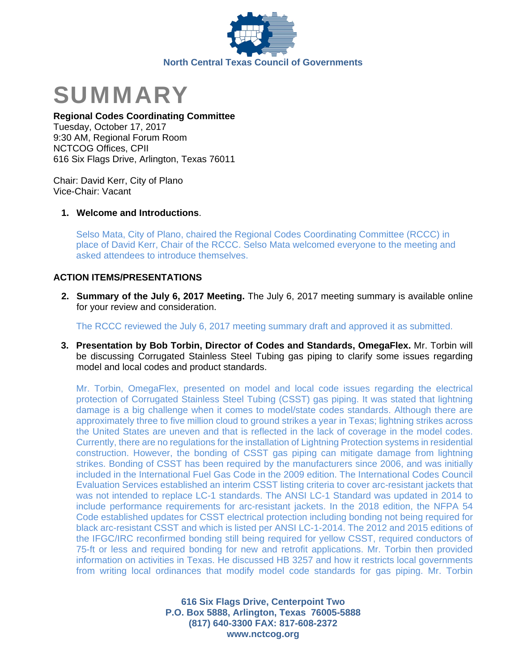



## **Regional Codes Coordinating Committee**

Tuesday, October 17, 2017 9:30 AM, Regional Forum Room NCTCOG Offices, CPII 616 Six Flags Drive, Arlington, Texas 76011

Chair: David Kerr, City of Plano Vice-Chair: Vacant

## **1. Welcome and Introductions**.

Selso Mata, City of Plano, chaired the Regional Codes Coordinating Committee (RCCC) in place of David Kerr, Chair of the RCCC. Selso Mata welcomed everyone to the meeting and asked attendees to introduce themselves.

# **ACTION ITEMS/PRESENTATIONS**

**2. Summary of the July 6, 2017 Meeting.** The July 6, 2017 meeting summary is available online for your review and consideration.

The RCCC reviewed the July 6, 2017 meeting summary draft and approved it as submitted.

**3. Presentation by Bob Torbin, Director of Codes and Standards, OmegaFlex.** Mr. Torbin will be discussing Corrugated Stainless Steel Tubing gas piping to clarify some issues regarding model and local codes and product standards.

Mr. Torbin, OmegaFlex, presented on model and local code issues regarding the electrical protection of Corrugated Stainless Steel Tubing (CSST) gas piping. It was stated that lightning damage is a big challenge when it comes to model/state codes standards. Although there are approximately three to five million cloud to ground strikes a year in Texas; lightning strikes across the United States are uneven and that is reflected in the lack of coverage in the model codes. Currently, there are no regulations for the installation of Lightning Protection systems in residential construction. However, the bonding of CSST gas piping can mitigate damage from lightning strikes. Bonding of CSST has been required by the manufacturers since 2006, and was initially included in the International Fuel Gas Code in the 2009 edition. The International Codes Council Evaluation Services established an interim CSST listing criteria to cover arc-resistant jackets that was not intended to replace LC-1 standards. The ANSI LC-1 Standard was updated in 2014 to include performance requirements for arc-resistant jackets. In the 2018 edition, the NFPA 54 Code established updates for CSST electrical protection including bonding not being required for black arc-resistant CSST and which is listed per ANSI LC-1-2014. The 2012 and 2015 editions of the IFGC/IRC reconfirmed bonding still being required for yellow CSST, required conductors of 75-ft or less and required bonding for new and retrofit applications. Mr. Torbin then provided information on activities in Texas. He discussed HB 3257 and how it restricts local governments from writing local ordinances that modify model code standards for gas piping. Mr. Torbin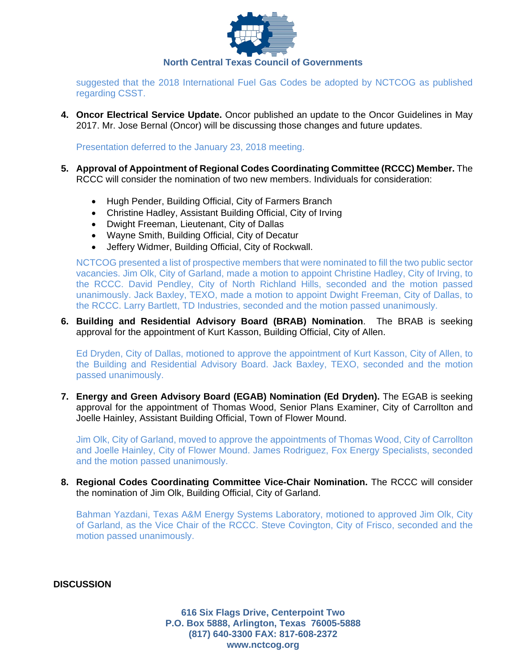

suggested that the 2018 International Fuel Gas Codes be adopted by NCTCOG as published regarding CSST.

**4. Oncor Electrical Service Update.** Oncor published an update to the Oncor Guidelines in May 2017. Mr. Jose Bernal (Oncor) will be discussing those changes and future updates.

Presentation deferred to the January 23, 2018 meeting.

- **5. Approval of Appointment of Regional Codes Coordinating Committee (RCCC) Member.** The RCCC will consider the nomination of two new members. Individuals for consideration:
	- Hugh Pender, Building Official, City of Farmers Branch
	- Christine Hadley, Assistant Building Official, City of Irving
	- Dwight Freeman, Lieutenant, City of Dallas
	- Wayne Smith, Building Official, City of Decatur
	- Jeffery Widmer, Building Official, City of Rockwall.

NCTCOG presented a list of prospective members that were nominated to fill the two public sector vacancies. Jim Olk, City of Garland, made a motion to appoint Christine Hadley, City of Irving, to the RCCC. David Pendley, City of North Richland Hills, seconded and the motion passed unanimously. Jack Baxley, TEXO, made a motion to appoint Dwight Freeman, City of Dallas, to the RCCC. Larry Bartlett, TD Industries, seconded and the motion passed unanimously.

## **6. Building and Residential Advisory Board (BRAB) Nomination**. The BRAB is seeking approval for the appointment of Kurt Kasson, Building Official, City of Allen.

Ed Dryden, City of Dallas, motioned to approve the appointment of Kurt Kasson, City of Allen, to the Building and Residential Advisory Board. Jack Baxley, TEXO, seconded and the motion passed unanimously.

**7. Energy and Green Advisory Board (EGAB) Nomination (Ed Dryden).** The EGAB is seeking approval for the appointment of Thomas Wood, Senior Plans Examiner, City of Carrollton and Joelle Hainley, Assistant Building Official, Town of Flower Mound.

Jim Olk, City of Garland, moved to approve the appointments of Thomas Wood, City of Carrollton and Joelle Hainley, City of Flower Mound. James Rodriguez, Fox Energy Specialists, seconded and the motion passed unanimously.

**8. Regional Codes Coordinating Committee Vice-Chair Nomination.** The RCCC will consider the nomination of Jim Olk, Building Official, City of Garland.

Bahman Yazdani, Texas A&M Energy Systems Laboratory, motioned to approved Jim Olk, City of Garland, as the Vice Chair of the RCCC. Steve Covington, City of Frisco, seconded and the motion passed unanimously.

**DISCUSSION**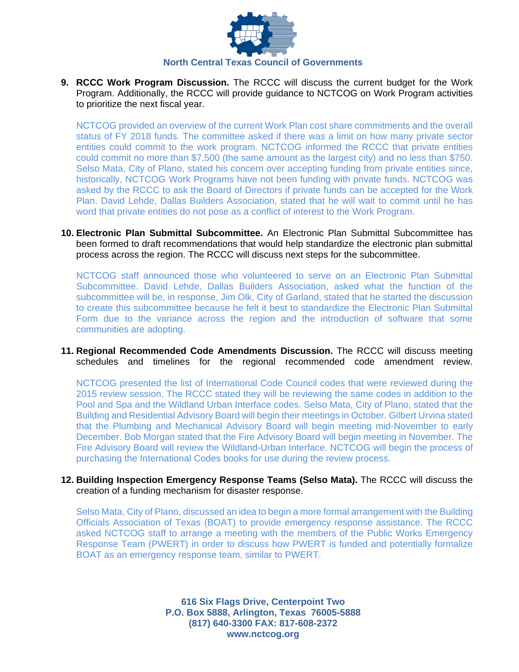

**9. RCCC Work Program Discussion.** The RCCC will discuss the current budget for the Work Program. Additionally, the RCCC will provide guidance to NCTCOG on Work Program activities to prioritize the next fiscal year.

NCTCOG provided an overview of the current Work Plan cost share commitments and the overall status of FY 2018 funds. The committee asked if there was a limit on how many private sector entities could commit to the work program. NCTCOG informed the RCCC that private entities could commit no more than \$7,500 (the same amount as the largest city) and no less than \$750. Selso Mata, City of Plano, stated his concern over accepting funding from private entities since, historically, NCTCOG Work Programs have not been funding with private funds. NCTCOG was asked by the RCCC to ask the Board of Directors if private funds can be accepted for the Work Plan. David Lehde, Dallas Builders Association, stated that he will wait to commit until he has word that private entities do not pose as a conflict of interest to the Work Program.

**10. Electronic Plan Submittal Subcommittee.** An Electronic Plan Submittal Subcommittee has been formed to draft recommendations that would help standardize the electronic plan submittal process across the region. The RCCC will discuss next steps for the subcommittee.

NCTCOG staff announced those who volunteered to serve on an Electronic Plan Submittal Subcommittee. David Lehde, Dallas Builders Association, asked what the function of the subcommittee will be, in response, Jim Olk, City of Garland, stated that he started the discussion to create this subcommittee because he felt it best to standardize the Electronic Plan Submittal Form due to the variance across the region and the introduction of software that some communities are adopting.

**11. Regional Recommended Code Amendments Discussion.** The RCCC will discuss meeting schedules and timelines for the regional recommended code amendment review.

NCTCOG presented the list of International Code Council codes that were reviewed during the 2015 review session. The RCCC stated they will be reviewing the same codes in addition to the Pool and Spa and the Wildland Urban Interface codes. Selso Mata, City of Plano, stated that the Building and Residential Advisory Board will begin their meetings in October. Gilbert Urvina stated that the Plumbing and Mechanical Advisory Board will begin meeting mid-November to early December. Bob Morgan stated that the Fire Advisory Board will begin meeting in November. The Fire Advisory Board will review the Wildland-Urban Interface. NCTCOG will begin the process of purchasing the International Codes books for use during the review process.

**12. Building Inspection Emergency Response Teams (Selso Mata).** The RCCC will discuss the creation of a funding mechanism for disaster response.

Selso Mata, City of Plano, discussed an idea to begin a more formal arrangement with the Building Officials Association of Texas (BOAT) to provide emergency response assistance. The RCCC asked NCTCOG staff to arrange a meeting with the members of the Public Works Emergency Response Team (PWERT) in order to discuss how PWERT is funded and potentially formalize BOAT as an emergency response team, similar to PWERT.